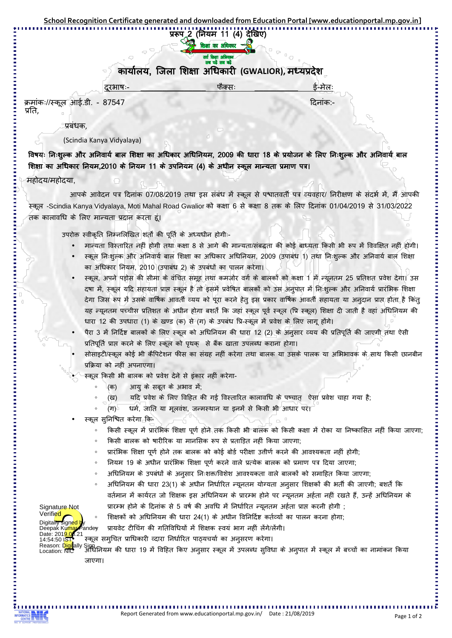प्ररूप 2 (नियम 11 (4) देखिए)

कार्यालय, जिला शिक्षा अधिकारी (GWALIOR), मध्यप्रदेश

| टरभाष:- | ਵੇ-ਸ਼ੇਕ: |
|---------|----------|
|         |          |

ĐȡȲȬèǗ]\_Ȣ ǑȡȲ प्रति,

प्रबंधक.

## (Scindia Kanya Vidyalaya)

विषयः निःशुल्क और अनिवार्य बाल शिक्षा का अधिकार अधिनियम, 2009 की धारा 18 के प्रयोजन के लिए निःशुल्क और अनिवार्य बाल शिक्षा का अधिकार नियम,2010 के नियम 11 के उपनियम (4) के अधीन स्कूल मान्यता प्रमाण पत्र।

## महोदय/महोदया.

Digitally signed Deepak Kum

Signature Not Verified

आपके आवेदन पत्र दिनांक 07/08/2019 तथा इस संबंध में स्कूल से पश्चातवर्ती पत्र व्यवहार/ निरीक्षण के संदर्भ में, मैं आपकी ਦ੍ਯਾਰ -Scindia Kanya Vidyalaya, Moti Mahal Road Gwalior को कक्षा 6 से कक्षा 8 तक के लिए दिनांक 01/04/2019 से 31/03/2022 तक कालावधि के लिए मान्यता प्रदान करता हूं।

उपरोक्त स्वीकृति निम्नलिखित शर्तों की पूर्ति के अध्यधीन होगी:-

- मान्यता विस्तारित नहीं होगी तथा कक्षा 8 से आगे की मान्यता/संबद्धता की कोई बाध्यता किसी भी रूप में विवक्षित नहीं होगी।
- स्कूल निःशुल्क और अनिवार्य बाल शिक्षा का अधिकार अधिनियम, 2009 (उपाबंध 1) तथा निःशुल्क और अनिवार्य बाल शिक्षा का अधिकार नियम, 2010 (उपाबंध 2) के उपबंधों का पालन करेगा।
- स्कूल, अपने पड़ोस की सीमा के वंचित समूह तथा कमजोर वर्ग के बालकों को कक्षा 1 में न्यूनतम 25 प्रतिशत प्रवेश देगा। उस दषा में, स्कल यदि सहायता प्राप्त स्कल है तो इसमें प्रवेषित बालकों को उस अनुपात में निःशुल्क और अनिवार्य प्रारंभिक शिक्षा देगा जिस रूप में उसके वार्षिक आवर्ती व्यय को पूरा करने हेतू इस प्रकार वार्षिक आवर्ती सहायता या अनुदान प्राप्त होता है किंतू यह न्यूनतम पच्चीस प्रतिशत के अधीन होगा बशतें कि जहां स्कूल पूर्व स्कूल (प्रि स्कूल) शिक्षा दी जाती है वहां अधिनियम की धारा 12 की उपधारा (1) के खण्ड (क) से (ग) के उपबंध प्रि-स्कूल में प्रवेश के लिए लागू होगे।
- पैरा 3 में निर्दिष्ट बालकों के लिए स्कूल को अधिनियम की धारा 12 (2) के अनुसार व्यय की प्रतिपूर्ति की जाएगी तथा ऐसी प्रतिपूर्ति प्राप्त करने के लिए स्कूल को पृथक् से बैंक खाता उपलब्ध कराना होगा।
- सोसाइटी/स्कूल कोई भी कैंपिटेशन फीस का संग्रह नहीं करेगा तथा बालक या उसके पालक या अभिभावक के साथ किसी छानबीन प्रक्रिया को नहीं अपनाएगा।
- स्कूल किसी भी बालक को प्रवेश देने से इंकार नहीं करेगा-
	- (क) आयू के सबूत के अभाव में:
	- (ख) यदि प्रवेश के लिए विहित की गई विस्तारित कालावधि के पष्चात ऐसा प्रवेश चाहा गया है:
	- $(T)$ धर्म, जाति या मुलवंश, जन्मस्थान या इनमें से किसी भी आधार पर।
- स्कूल सुनिश्चित करेगा कि-
	- ॰ किसी स्कूल में प्रारंभिक शिक्षा पूर्ण होने तक किसी भी बालक को किसी कक्षा में रोका या निष्कासित नहीं किया जाएगा;
	- किसी बालक को षारीरिक या मानसिक रूप से प्रताड़ित नहीं किया जाएगा;
	- प्रारंभिक शिक्षा पूर्ण होने तक बालक को कोई बोर्ड परीक्षा उत्तीर्ण करने की आवश्यकता नहीं होगी;
	- 。 नियम 19 के अधीन प्रारंभिक शिक्षा पूर्ण करने वाले प्रत्येक बालक को प्रमाण पत्र दिया जाएगा;
	- अधिनियम के उपबंधों के अनुसार निःशक्त/विशेश आवश्यकता वाले बालकों को समाहित किया जाएगा;
	- ॰ अधिनियम की धारा 23(1) के अधीन निर्धारित न्यूनतम योग्यता अनुसार शिक्षकों की भर्ती की जाएगी; बशर्तें कि वर्तमान में कार्यरत जो शिक्षक इस अधिनियम के प्रारम्भ होने पर न्युनतम अर्हता नहीं रखते हैं, उन्हें अधिनियम के प्रारम्भ होने के दिनांक से 5 वर्ष की अवधि में निर्धारित न्यूनतम अर्हता प्राप्त करनी होगी ;

。 शिक्षकों को अधिनियम की धारा 24(1) के अधीन विनिर्दिष्ट कर्तव्यों का पालन करना होगा;

- ,,<br>'andey प्रायवेट टीचिंग की गतिविधियों में शिक्षक स्वयं भाग नहीं लेंगे/लेंगी।
- स्कूल समुचित प्राधिकारी व्दारा निर्धारित पाठ्यचर्या का अनुसरण करेगा। Date: 201<mark>9.0</mark>6.21<br>14:54:50 I<mark>ST•</mark>

ऽ।00<br>अधिनियम की धारा 19 में विहित किए अनुसार स्कूल में उपलब्ध सुविधा के अनुपात में स्कूल में बच्चों का नामांकन किया जाएगा। Reason: Digitally Sign Location: NIC